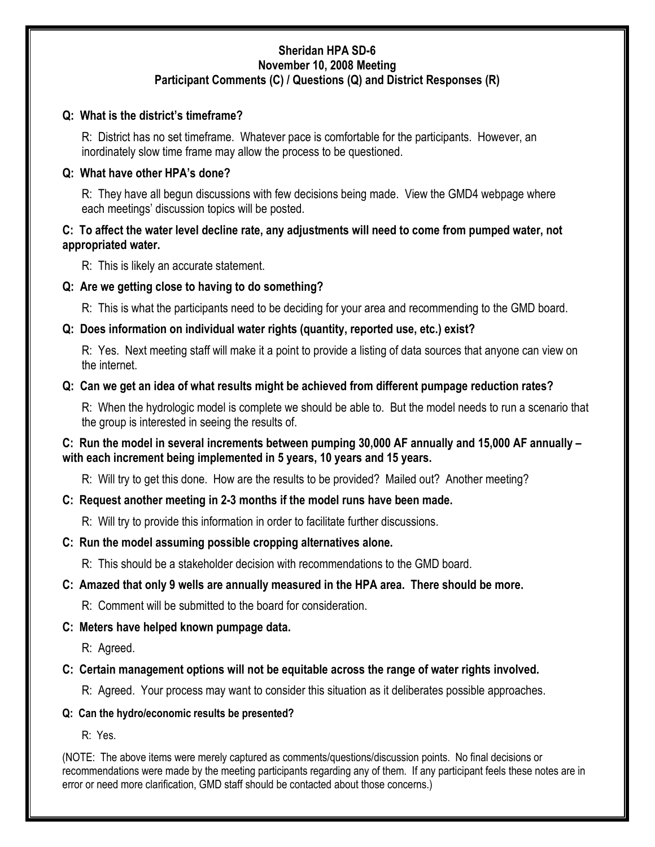#### Sheridan HPA SD-6 November 10, 2008 Meeting Participant Comments (C) / Questions (Q) and District Responses (R)

#### Q: What is the district's timeframe?

R: District has no set timeframe. Whatever pace is comfortable for the participants. However, an inordinately slow time frame may allow the process to be questioned.

#### Q: What have other HPA's done?

R: They have all begun discussions with few decisions being made. View the GMD4 webpage where each meetings' discussion topics will be posted.

# C: To affect the water level decline rate, any adjustments will need to come from pumped water, not appropriated water.

R: This is likely an accurate statement.

# Q: Are we getting close to having to do something?

R: This is what the participants need to be deciding for your area and recommending to the GMD board.

# Q: Does information on individual water rights (quantity, reported use, etc.) exist?

R: Yes. Next meeting staff will make it a point to provide a listing of data sources that anyone can view on the internet.

# Q: Can we get an idea of what results might be achieved from different pumpage reduction rates?

R: When the hydrologic model is complete we should be able to. But the model needs to run a scenario that the group is interested in seeing the results of.

# C: Run the model in several increments between pumping 30,000 AF annually and 15,000 AF annually – with each increment being implemented in 5 years, 10 years and 15 years.

R: Will try to get this done. How are the results to be provided? Mailed out? Another meeting?

# C: Request another meeting in 2-3 months if the model runs have been made.

R: Will try to provide this information in order to facilitate further discussions.

# C: Run the model assuming possible cropping alternatives alone.

R: This should be a stakeholder decision with recommendations to the GMD board.

# C: Amazed that only 9 wells are annually measured in the HPA area. There should be more.

R: Comment will be submitted to the board for consideration.

# C: Meters have helped known pumpage data.

R: Agreed.

# C: Certain management options will not be equitable across the range of water rights involved.

R: Agreed. Your process may want to consider this situation as it deliberates possible approaches.

#### Q: Can the hydro/economic results be presented?

R: Yes.

(NOTE: The above items were merely captured as comments/questions/discussion points. No final decisions or recommendations were made by the meeting participants regarding any of them. If any participant feels these notes are in error or need more clarification, GMD staff should be contacted about those concerns.)